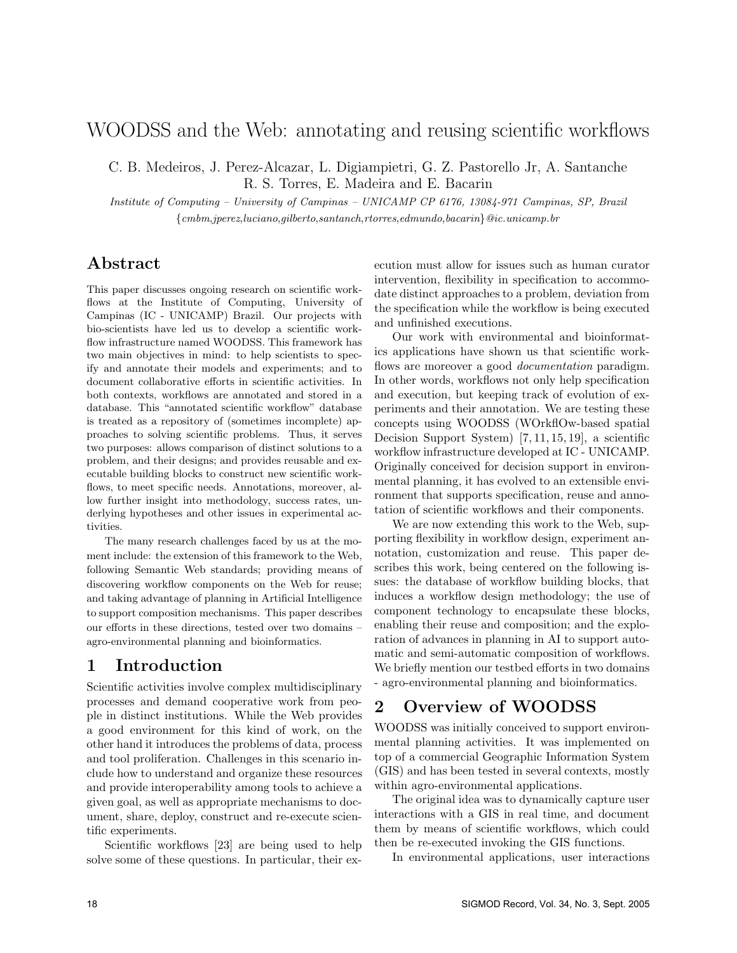# WOODSS and the Web: annotating and reusing scientific workflows

C. B. Medeiros, J. Perez-Alcazar, L. Digiampietri, G. Z. Pastorello Jr, A. Santanche R. S. Torres, E. Madeira and E. Bacarin

Institute of Computing – University of Campinas – UNICAMP CP 6176, 13084-971 Campinas, SP, Brazil {cmbm,jperez,luciano,gilberto,santanch,rtorres,edmundo,bacarin}@ic.unicamp.br

# Abstract

This paper discusses ongoing research on scientific workflows at the Institute of Computing, University of Campinas (IC - UNICAMP) Brazil. Our projects with bio-scientists have led us to develop a scientific workflow infrastructure named WOODSS. This framework has two main objectives in mind: to help scientists to specify and annotate their models and experiments; and to document collaborative efforts in scientific activities. In both contexts, workflows are annotated and stored in a database. This "annotated scientific workflow" database is treated as a repository of (sometimes incomplete) approaches to solving scientific problems. Thus, it serves two purposes: allows comparison of distinct solutions to a problem, and their designs; and provides reusable and executable building blocks to construct new scientific workflows, to meet specific needs. Annotations, moreover, allow further insight into methodology, success rates, underlying hypotheses and other issues in experimental activities.

The many research challenges faced by us at the moment include: the extension of this framework to the Web, following Semantic Web standards; providing means of discovering workflow components on the Web for reuse; and taking advantage of planning in Artificial Intelligence to support composition mechanisms. This paper describes our efforts in these directions, tested over two domains – agro-environmental planning and bioinformatics.

## 1 Introduction

Scientific activities involve complex multidisciplinary processes and demand cooperative work from people in distinct institutions. While the Web provides a good environment for this kind of work, on the other hand it introduces the problems of data, process and tool proliferation. Challenges in this scenario include how to understand and organize these resources and provide interoperability among tools to achieve a given goal, as well as appropriate mechanisms to document, share, deploy, construct and re-execute scientific experiments.

Scientific workflows [23] are being used to help solve some of these questions. In particular, their ex-

ecution must allow for issues such as human curator intervention, flexibility in specification to accommodate distinct approaches to a problem, deviation from the specification while the workflow is being executed and unfinished executions.

Our work with environmental and bioinformatics applications have shown us that scientific workflows are moreover a good *documentation* paradigm. In other words, workflows not only help specification and execution, but keeping track of evolution of experiments and their annotation. We are testing these concepts using WOODSS (WOrkflOw-based spatial Decision Support System) [7, 11, 15, 19], a scientific workflow infrastructure developed at IC - UNICAMP. Originally conceived for decision support in environmental planning, it has evolved to an extensible environment that supports specification, reuse and annotation of scientific workflows and their components.

We are now extending this work to the Web, supporting flexibility in workflow design, experiment annotation, customization and reuse. This paper describes this work, being centered on the following issues: the database of workflow building blocks, that induces a workflow design methodology; the use of component technology to encapsulate these blocks, enabling their reuse and composition; and the exploration of advances in planning in AI to support automatic and semi-automatic composition of workflows. We briefly mention our testbed efforts in two domains - agro-environmental planning and bioinformatics.

# 2 Overview of WOODSS

WOODSS was initially conceived to support environmental planning activities. It was implemented on top of a commercial Geographic Information System (GIS) and has been tested in several contexts, mostly within agro-environmental applications.

The original idea was to dynamically capture user interactions with a GIS in real time, and document them by means of scientific workflows, which could then be re-executed invoking the GIS functions.

In environmental applications, user interactions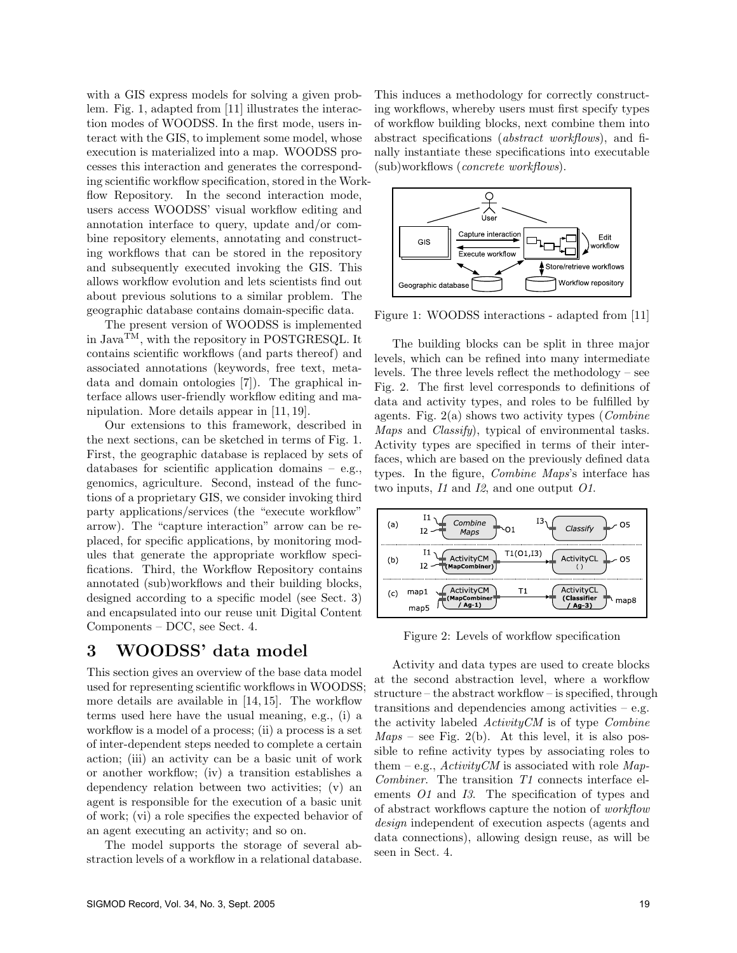with a GIS express models for solving a given problem. Fig. 1, adapted from [11] illustrates the interaction modes of WOODSS. In the first mode, users interact with the GIS, to implement some model, whose execution is materialized into a map. WOODSS processes this interaction and generates the corresponding scientific workflow specification, stored in the Workflow Repository. In the second interaction mode, users access WOODSS' visual workflow editing and annotation interface to query, update and/or combine repository elements, annotating and constructing workflows that can be stored in the repository and subsequently executed invoking the GIS. This allows workflow evolution and lets scientists find out about previous solutions to a similar problem. The geographic database contains domain-specific data.

The present version of WOODSS is implemented in Java<sup>TM</sup>, with the repository in POSTGRESQL. It contains scientific workflows (and parts thereof) and associated annotations (keywords, free text, metadata and domain ontologies [7]). The graphical interface allows user-friendly workflow editing and manipulation. More details appear in [11, 19].

Our extensions to this framework, described in the next sections, can be sketched in terms of Fig. 1. First, the geographic database is replaced by sets of databases for scientific application domains – e.g., genomics, agriculture. Second, instead of the functions of a proprietary GIS, we consider invoking third party applications/services (the "execute workflow" arrow). The "capture interaction" arrow can be replaced, for specific applications, by monitoring modules that generate the appropriate workflow specifications. Third, the Workflow Repository contains annotated (sub)workflows and their building blocks, designed according to a specific model (see Sect. 3) and encapsulated into our reuse unit Digital Content Components – DCC, see Sect. 4.

# 3 WOODSS' data model

This section gives an overview of the base data model used for representing scientific workflows in WOODSS; more details are available in [14, 15]. The workflow terms used here have the usual meaning, e.g., (i) a workflow is a model of a process; (ii) a process is a set of inter-dependent steps needed to complete a certain action; (iii) an activity can be a basic unit of work or another workflow; (iv) a transition establishes a dependency relation between two activities; (v) an agent is responsible for the execution of a basic unit of work; (vi) a role specifies the expected behavior of an agent executing an activity; and so on.

The model supports the storage of several abstraction levels of a workflow in a relational database.

This induces a methodology for correctly constructing workflows, whereby users must first specify types of workflow building blocks, next combine them into abstract specifications (abstract workflows), and finally instantiate these specifications into executable (sub)workflows (concrete workflows).



Figure 1: WOODSS interactions - adapted from [11]

The building blocks can be split in three major levels, which can be refined into many intermediate levels. The three levels reflect the methodology – see Fig. 2. The first level corresponds to definitions of data and activity types, and roles to be fulfilled by agents. Fig.  $2(a)$  shows two activity types (*Combine*) Maps and *Classify*), typical of environmental tasks. Activity types are specified in terms of their interfaces, which are based on the previously defined data types. In the figure, Combine Maps's interface has two inputs, I1 and I2, and one output O1.



Figure 2: Levels of workflow specification

Activity and data types are used to create blocks at the second abstraction level, where a workflow structure – the abstract workflow – is specified, through transitions and dependencies among activities  $-$  e.g. the activity labeled ActivityCM is of type Combine  $Maps - see Fig. 2(b)$ . At this level, it is also possible to refine activity types by associating roles to them – e.g.,  $Activity CM$  is associated with role Map-Combiner. The transition T1 connects interface elements O1 and I3. The specification of types and of abstract workflows capture the notion of workflow design independent of execution aspects (agents and data connections), allowing design reuse, as will be seen in Sect. 4.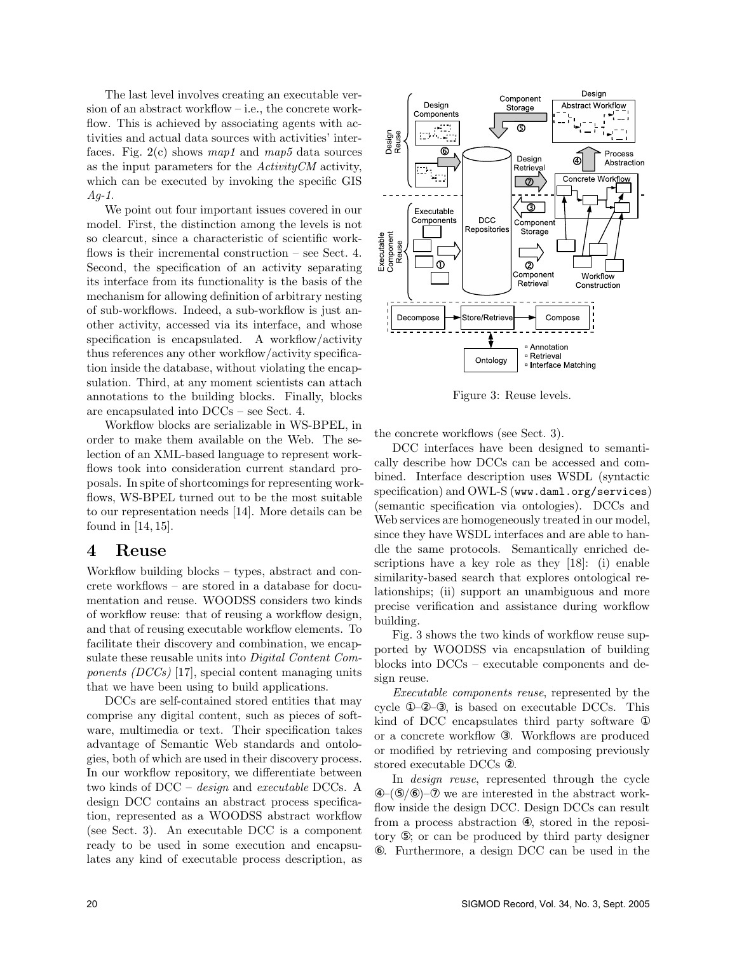The last level involves creating an executable version of an abstract workflow – i.e., the concrete workflow. This is achieved by associating agents with activities and actual data sources with activities' interfaces. Fig.  $2(c)$  shows map1 and map5 data sources as the input parameters for the  $ActivityCM$  activity, which can be executed by invoking the specific GIS  $Aq-1$ .

We point out four important issues covered in our model. First, the distinction among the levels is not so clearcut, since a characteristic of scientific workflows is their incremental construction – see Sect. 4. Second, the specification of an activity separating its interface from its functionality is the basis of the mechanism for allowing definition of arbitrary nesting of sub-workflows. Indeed, a sub-workflow is just another activity, accessed via its interface, and whose specification is encapsulated. A workflow/activity thus references any other workflow/activity specification inside the database, without violating the encapsulation. Third, at any moment scientists can attach annotations to the building blocks. Finally, blocks are encapsulated into DCCs – see Sect. 4.

Workflow blocks are serializable in WS-BPEL, in order to make them available on the Web. The selection of an XML-based language to represent workflows took into consideration current standard proposals. In spite of shortcomings for representing workflows, WS-BPEL turned out to be the most suitable to our representation needs [14]. More details can be found in [14, 15].

### 4 Reuse

Workflow building blocks – types, abstract and concrete workflows – are stored in a database for documentation and reuse. WOODSS considers two kinds of workflow reuse: that of reusing a workflow design, and that of reusing executable workflow elements. To facilitate their discovery and combination, we encapsulate these reusable units into Digital Content Components (DCCs) [17], special content managing units that we have been using to build applications.

DCCs are self-contained stored entities that may comprise any digital content, such as pieces of software, multimedia or text. Their specification takes advantage of Semantic Web standards and ontologies, both of which are used in their discovery process. In our workflow repository, we differentiate between two kinds of DCC – design and executable DCCs. A design DCC contains an abstract process specification, represented as a WOODSS abstract workflow (see Sect. 3). An executable DCC is a component ready to be used in some execution and encapsulates any kind of executable process description, as



Figure 3: Reuse levels.

the concrete workflows (see Sect. 3).

DCC interfaces have been designed to semantically describe how DCCs can be accessed and combined. Interface description uses WSDL (syntactic specification) and OWL-S (www.daml.org/services) (semantic specification via ontologies). DCCs and Web services are homogeneously treated in our model, since they have WSDL interfaces and are able to handle the same protocols. Semantically enriched descriptions have a key role as they [18]: (i) enable similarity-based search that explores ontological relationships; (ii) support an unambiguous and more precise verification and assistance during workflow building.

Fig. 3 shows the two kinds of workflow reuse supported by WOODSS via encapsulation of building blocks into DCCs – executable components and design reuse.

Executable components reuse, represented by the cycle ①–②–③, is based on executable DCCs. This kind of DCC encapsulates third party software ① or a concrete workflow ③. Workflows are produced or modified by retrieving and composing previously stored executable DCCs ②.

In design reuse, represented through the cycle  $(-16/6)$ – $\infty$  we are interested in the abstract workflow inside the design DCC. Design DCCs can result from a process abstraction ④, stored in the repository ⑤; or can be produced by third party designer ⑥. Furthermore, a design DCC can be used in the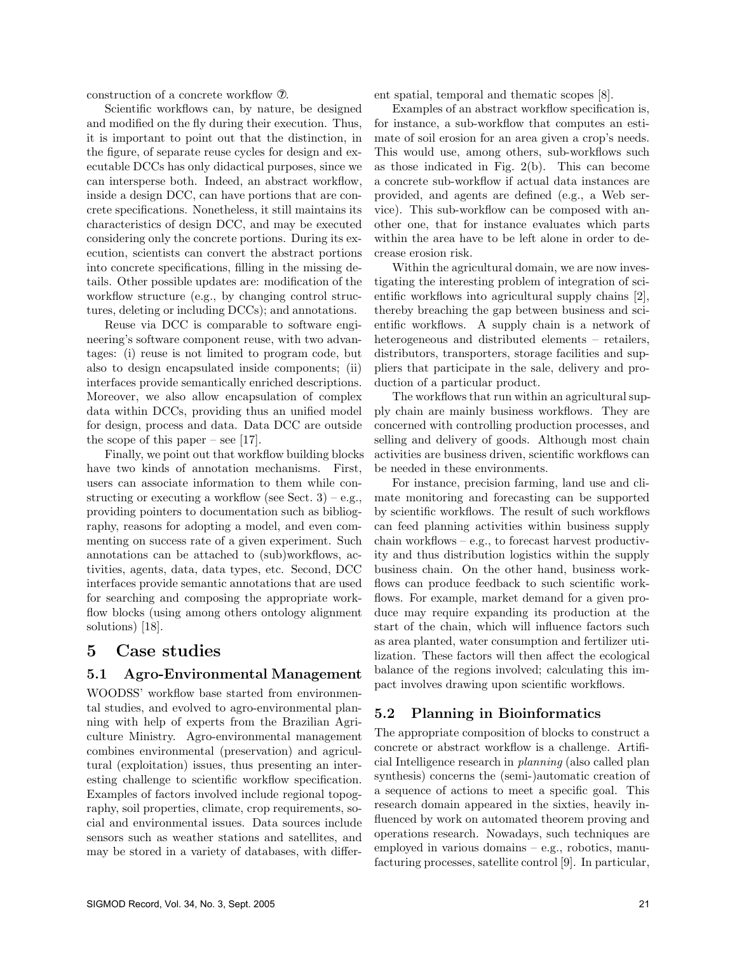construction of a concrete workflow ⑦.

Scientific workflows can, by nature, be designed and modified on the fly during their execution. Thus, it is important to point out that the distinction, in the figure, of separate reuse cycles for design and executable DCCs has only didactical purposes, since we can intersperse both. Indeed, an abstract workflow, inside a design DCC, can have portions that are concrete specifications. Nonetheless, it still maintains its characteristics of design DCC, and may be executed considering only the concrete portions. During its execution, scientists can convert the abstract portions into concrete specifications, filling in the missing details. Other possible updates are: modification of the workflow structure (e.g., by changing control structures, deleting or including DCCs); and annotations.

Reuse via DCC is comparable to software engineering's software component reuse, with two advantages: (i) reuse is not limited to program code, but also to design encapsulated inside components; (ii) interfaces provide semantically enriched descriptions. Moreover, we also allow encapsulation of complex data within DCCs, providing thus an unified model for design, process and data. Data DCC are outside the scope of this paper – see [17].

Finally, we point out that workflow building blocks have two kinds of annotation mechanisms. First, users can associate information to them while constructing or executing a workflow (see Sect. 3) – e.g., providing pointers to documentation such as bibliography, reasons for adopting a model, and even commenting on success rate of a given experiment. Such annotations can be attached to (sub)workflows, activities, agents, data, data types, etc. Second, DCC interfaces provide semantic annotations that are used for searching and composing the appropriate workflow blocks (using among others ontology alignment solutions) [18].

## 5 Case studies

#### 5.1 Agro-Environmental Management

WOODSS' workflow base started from environmental studies, and evolved to agro-environmental planning with help of experts from the Brazilian Agriculture Ministry. Agro-environmental management combines environmental (preservation) and agricultural (exploitation) issues, thus presenting an interesting challenge to scientific workflow specification. Examples of factors involved include regional topography, soil properties, climate, crop requirements, social and environmental issues. Data sources include sensors such as weather stations and satellites, and may be stored in a variety of databases, with different spatial, temporal and thematic scopes [8].

Examples of an abstract workflow specification is, for instance, a sub-workflow that computes an estimate of soil erosion for an area given a crop's needs. This would use, among others, sub-workflows such as those indicated in Fig. 2(b). This can become a concrete sub-workflow if actual data instances are provided, and agents are defined (e.g., a Web service). This sub-workflow can be composed with another one, that for instance evaluates which parts within the area have to be left alone in order to decrease erosion risk.

Within the agricultural domain, we are now investigating the interesting problem of integration of scientific workflows into agricultural supply chains [2], thereby breaching the gap between business and scientific workflows. A supply chain is a network of heterogeneous and distributed elements – retailers, distributors, transporters, storage facilities and suppliers that participate in the sale, delivery and production of a particular product.

The workflows that run within an agricultural supply chain are mainly business workflows. They are concerned with controlling production processes, and selling and delivery of goods. Although most chain activities are business driven, scientific workflows can be needed in these environments.

For instance, precision farming, land use and climate monitoring and forecasting can be supported by scientific workflows. The result of such workflows can feed planning activities within business supply chain workflows – e.g., to forecast harvest productivity and thus distribution logistics within the supply business chain. On the other hand, business workflows can produce feedback to such scientific workflows. For example, market demand for a given produce may require expanding its production at the start of the chain, which will influence factors such as area planted, water consumption and fertilizer utilization. These factors will then affect the ecological balance of the regions involved; calculating this impact involves drawing upon scientific workflows.

### 5.2 Planning in Bioinformatics

The appropriate composition of blocks to construct a concrete or abstract workflow is a challenge. Artificial Intelligence research in planning (also called plan synthesis) concerns the (semi-)automatic creation of a sequence of actions to meet a specific goal. This research domain appeared in the sixties, heavily influenced by work on automated theorem proving and operations research. Nowadays, such techniques are employed in various domains – e.g., robotics, manufacturing processes, satellite control [9]. In particular,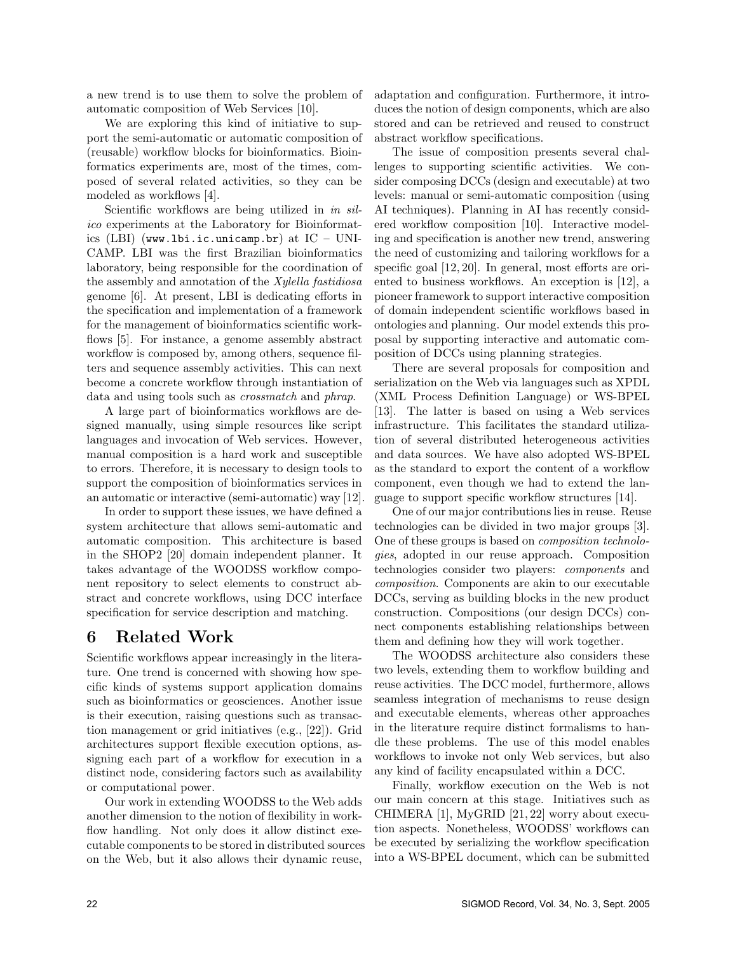a new trend is to use them to solve the problem of automatic composition of Web Services [10].

We are exploring this kind of initiative to support the semi-automatic or automatic composition of (reusable) workflow blocks for bioinformatics. Bioinformatics experiments are, most of the times, composed of several related activities, so they can be modeled as workflows [4].

Scientific workflows are being utilized in in silico experiments at the Laboratory for Bioinformatics (LBI) (www.lbi.ic.unicamp.br) at  $IC - UNI$ -CAMP. LBI was the first Brazilian bioinformatics laboratory, being responsible for the coordination of the assembly and annotation of the Xylella fastidiosa genome [6]. At present, LBI is dedicating efforts in the specification and implementation of a framework for the management of bioinformatics scientific workflows [5]. For instance, a genome assembly abstract workflow is composed by, among others, sequence filters and sequence assembly activities. This can next become a concrete workflow through instantiation of data and using tools such as crossmatch and phrap.

A large part of bioinformatics workflows are designed manually, using simple resources like script languages and invocation of Web services. However, manual composition is a hard work and susceptible to errors. Therefore, it is necessary to design tools to support the composition of bioinformatics services in an automatic or interactive (semi-automatic) way [12].

In order to support these issues, we have defined a system architecture that allows semi-automatic and automatic composition. This architecture is based in the SHOP2 [20] domain independent planner. It takes advantage of the WOODSS workflow component repository to select elements to construct abstract and concrete workflows, using DCC interface specification for service description and matching.

## 6 Related Work

Scientific workflows appear increasingly in the literature. One trend is concerned with showing how specific kinds of systems support application domains such as bioinformatics or geosciences. Another issue is their execution, raising questions such as transaction management or grid initiatives (e.g., [22]). Grid architectures support flexible execution options, assigning each part of a workflow for execution in a distinct node, considering factors such as availability or computational power.

Our work in extending WOODSS to the Web adds another dimension to the notion of flexibility in workflow handling. Not only does it allow distinct executable components to be stored in distributed sources on the Web, but it also allows their dynamic reuse,

adaptation and configuration. Furthermore, it introduces the notion of design components, which are also stored and can be retrieved and reused to construct abstract workflow specifications.

The issue of composition presents several challenges to supporting scientific activities. We consider composing DCCs (design and executable) at two levels: manual or semi-automatic composition (using AI techniques). Planning in AI has recently considered workflow composition [10]. Interactive modeling and specification is another new trend, answering the need of customizing and tailoring workflows for a specific goal [12, 20]. In general, most efforts are oriented to business workflows. An exception is [12], a pioneer framework to support interactive composition of domain independent scientific workflows based in ontologies and planning. Our model extends this proposal by supporting interactive and automatic composition of DCCs using planning strategies.

There are several proposals for composition and serialization on the Web via languages such as XPDL (XML Process Definition Language) or WS-BPEL [13]. The latter is based on using a Web services infrastructure. This facilitates the standard utilization of several distributed heterogeneous activities and data sources. We have also adopted WS-BPEL as the standard to export the content of a workflow component, even though we had to extend the language to support specific workflow structures [14].

One of our major contributions lies in reuse. Reuse technologies can be divided in two major groups [3]. One of these groups is based on composition technologies, adopted in our reuse approach. Composition technologies consider two players: components and composition. Components are akin to our executable DCCs, serving as building blocks in the new product construction. Compositions (our design DCCs) connect components establishing relationships between them and defining how they will work together.

The WOODSS architecture also considers these two levels, extending them to workflow building and reuse activities. The DCC model, furthermore, allows seamless integration of mechanisms to reuse design and executable elements, whereas other approaches in the literature require distinct formalisms to handle these problems. The use of this model enables workflows to invoke not only Web services, but also any kind of facility encapsulated within a DCC.

Finally, workflow execution on the Web is not our main concern at this stage. Initiatives such as CHIMERA [1], MyGRID [21, 22] worry about execution aspects. Nonetheless, WOODSS' workflows can be executed by serializing the workflow specification into a WS-BPEL document, which can be submitted